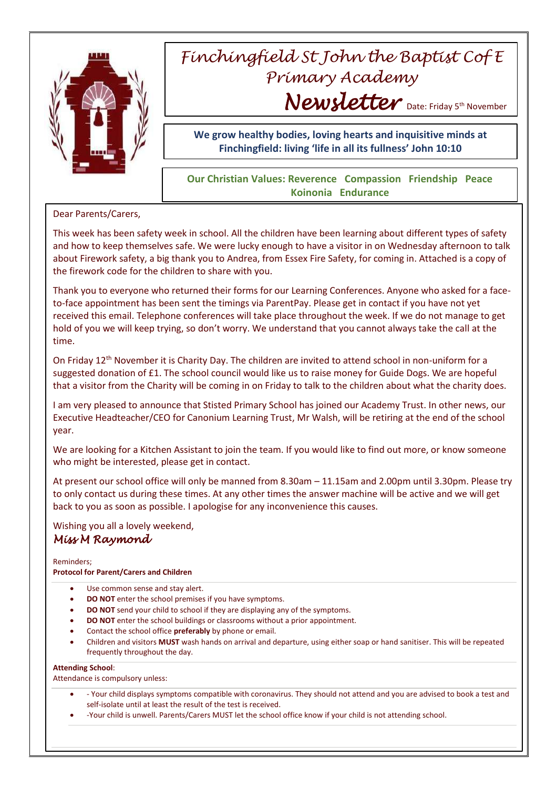

# *Finchingfield St John the Baptist Cof E Primary Academy* Newsletter Date: Friday 5th November

**We grow healthy bodies, loving hearts and inquisitive minds at Finchingfield: living 'life in all its fullness' John 10:10**

### **Our Christian Values: Reverence Compassion Friendship Peace Koinonia Endurance**

Dear Parents/Carers,

This week has been safety week in school. All the children have been learning about different types of safety and how to keep themselves safe. We were lucky enough to have a visitor in on Wednesday afternoon to talk about Firework safety, a big thank you to Andrea, from Essex Fire Safety, for coming in. Attached is a copy of the firework code for the children to share with you.

Thank you to everyone who returned their forms for our Learning Conferences. Anyone who asked for a faceto-face appointment has been sent the timings via ParentPay. Please get in contact if you have not yet received this email. Telephone conferences will take place throughout the week. If we do not manage to get hold of you we will keep trying, so don't worry. We understand that you cannot always take the call at the time.

On Friday 12<sup>th</sup> November it is Charity Day. The children are invited to attend school in non-uniform for a suggested donation of £1. The school council would like us to raise money for Guide Dogs. We are hopeful that a visitor from the Charity will be coming in on Friday to talk to the children about what the charity does.

I am very pleased to announce that Stisted Primary School has joined our Academy Trust. In other news, our Executive Headteacher/CEO for Canonium Learning Trust, Mr Walsh, will be retiring at the end of the school year.

We are looking for a Kitchen Assistant to join the team. If you would like to find out more, or know someone who might be interested, please get in contact.

At present our school office will only be manned from 8.30am – 11.15am and 2.00pm until 3.30pm. Please try to only contact us during these times. At any other times the answer machine will be active and we will get back to you as soon as possible. I apologise for any inconvenience this causes.

Wishing you all a lovely weekend,

## *Miss M Raymond*

Reminders;

#### **Protocol for Parent/Carers and Children**

- Use common sense and stay alert.
- **DO NOT** enter the school premises if you have symptoms.
- **DO NOT** send your child to school if they are displaying any of the symptoms.
- **DO NOT** enter the school buildings or classrooms without a prior appointment.
- Contact the school office **preferably** by phone or email.
- Children and visitors **MUST** wash hands on arrival and departure, using either soap or hand sanitiser. This will be repeated frequently throughout the day.

#### **Attending School**:

Attendance is compulsory unless:

- Your child displays symptoms compatible with coronavirus. They should not attend and you are advised to book a test and self-isolate until at least the result of the test is received.
- -Your child is unwell. Parents/Carers MUST let the school office know if your child is not attending school.